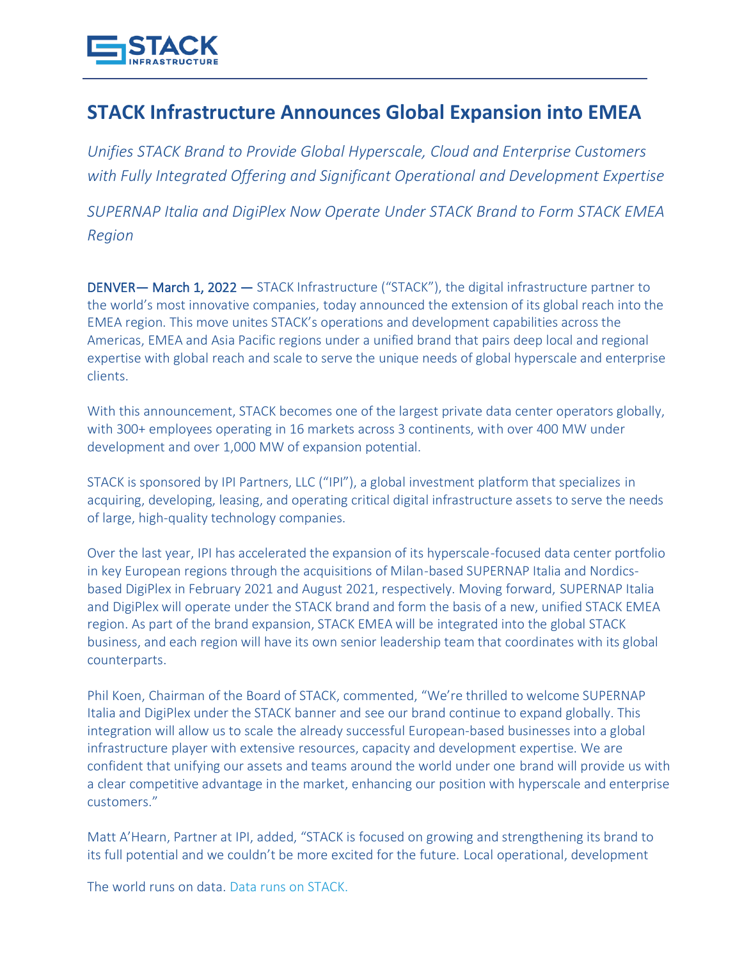

## **STACK Infrastructure Announces Global Expansion into EMEA**

*Unifies STACK Brand to Provide Global Hyperscale, Cloud and Enterprise Customers with Fully Integrated Offering and Significant Operational and Development Expertise* 

*SUPERNAP Italia and DigiPlex Now Operate Under STACK Brand to Form STACK EMEA Region*

DENVER— March 1, 2022 — STACK Infrastructure ("STACK"), the digital infrastructure partner to the world's most innovative companies, today announced the extension of its global reach into the EMEA region. This move unites STACK's operations and development capabilities across the Americas, EMEA and Asia Pacific regions under a unified brand that pairs deep local and regional expertise with global reach and scale to serve the unique needs of global hyperscale and enterprise clients.

With this announcement, STACK becomes one of the largest private data center operators globally, with 300+ employees operating in 16 markets across 3 continents, with over 400 MW under development and over 1,000 MW of expansion potential.

STACK is sponsored by IPI Partners, LLC ("IPI"), a global investment platform that specializes in acquiring, developing, leasing, and operating critical digital infrastructure assets to serve the needs of large, high-quality technology companies.

Over the last year, IPI has accelerated the expansion of its hyperscale-focused data center portfolio in key European regions through the acquisitions of Milan-based SUPERNAP Italia and Nordicsbased DigiPlex in February 2021 and August 2021, respectively. Moving forward, SUPERNAP Italia and DigiPlex will operate under the STACK brand and form the basis of a new, unified STACK EMEA region. As part of the brand expansion, STACK EMEA will be integrated into the global STACK business, and each region will have its own senior leadership team that coordinates with its global counterparts.

Phil Koen, Chairman of the Board of STACK, commented, "We're thrilled to welcome SUPERNAP Italia and DigiPlex under the STACK banner and see our brand continue to expand globally. This integration will allow us to scale the already successful European-based businesses into a global infrastructure player with extensive resources, capacity and development expertise. We are confident that unifying our assets and teams around the world under one brand will provide us with a clear competitive advantage in the market, enhancing our position with hyperscale and enterprise customers."

Matt A'Hearn, Partner at IPI, added, "STACK is focused on growing and strengthening its brand to its full potential and we couldn't be more excited for the future. Local operational, development

The world runs on data. Data runs on STACK.